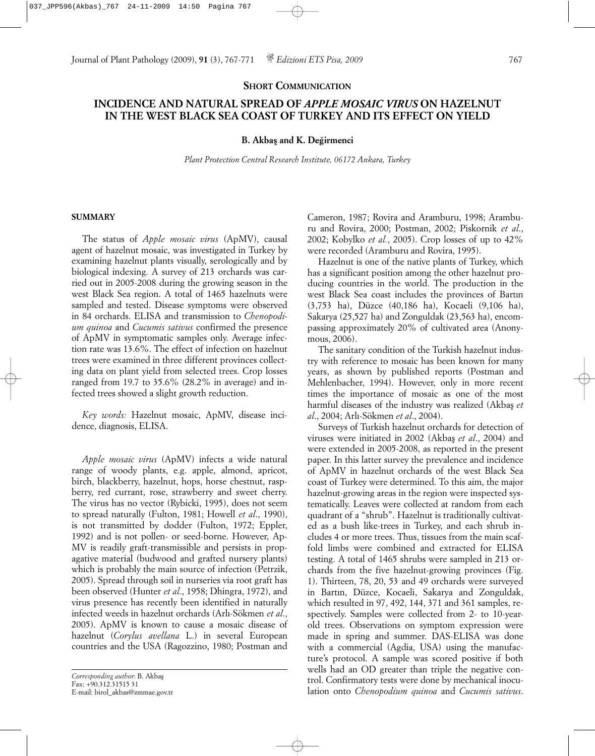#### **SHORT COMMUNICATION**

# **INCIDENCE AND NATURAL SPREAD OF** *APPLE MOSAIC VIRUS* **ON HAZELNUT IN THE WEST BLACK SEA COAST OF TURKEY AND ITS EFFECT ON YIELD**

### **B. Akbas¸ and K. Deg˘irmenci**

*Plant Protection Central Research Institute, 06172 Ankara, Turkey*

#### **SUMMARY**

The status of *Apple mosaic virus* (ApMV), causal agent of hazelnut mosaic, was investigated in Turkey by examining hazelnut plants visually, serologically and by biological indexing. A survey of 213 orchards was carried out in 2005-2008 during the growing season in the west Black Sea region. A total of 1465 hazelnuts were sampled and tested. Disease symptoms were observed in 84 orchards. ELISA and transmission to *Chenopodium quinoa* and *Cucumis sativus* confirmed the presence of ApMV in symptomatic samples only. Average infection rate was 13.6%. The effect of infection on hazelnut trees were examined in three different provinces collecting data on plant yield from selected trees. Crop losses ranged from 19.7 to 35.6% (28.2% in average) and infected trees showed a slight growth reduction.

*Key words:* Hazelnut mosaic, ApMV, disease incidence, diagnosis, ELISA.

*Apple mosaic virus* (ApMV) infects a wide natural range of woody plants, e.g. apple, almond, apricot, birch, blackberry, hazelnut, hops, horse chestnut, raspberry, red currant, rose, strawberry and sweet cherry. The virus has no vector (Rybicki, 1995), does not seem to spread naturally (Fulton, 1981; Howell *et al*., 1990), is not transmitted by dodder (Fulton, 1972; Eppler, 1992) and is not pollen- or seed-borne. However, Ap-MV is readily graft-transmissible and persists in propagative material (budwood and grafted nursery plants) which is probably the main source of infection (Petrzik, 2005). Spread through soil in nurseries via root graft has been observed (Hunter *et al*., 1958; Dhingra, 1972), and virus presence has recently been identified in naturally infected weeds in hazelnut orchards (Arlı-Sökmen *et al*., 2005). ApMV is known to cause a mosaic disease of hazelnut (*Corylus avellana* L.) in several European countries and the USA (Ragozzino, 1980; Postman and Cameron, 1987; Rovira and Aramburu, 1998; Aramburu and Rovira, 2000; Postman, 2002; Piskornik *et al*., 2002; Kobylko *et al.*, 2005). Crop losses of up to 42% were recorded (Aramburu and Rovira, 1995).

Hazelnut is one of the native plants of Turkey, which has a significant position among the other hazelnut producing countries in the world. The production in the west Black Sea coast includes the provinces of Bartın (3,753 ha), Düzce (40,186 ha), Kocaeli (9,106 ha), Sakarya (25,527 ha) and Zonguldak (23,563 ha), encompassing approximately 20% of cultivated area (Anonymous, 2006).

The sanitary condition of the Turkish hazelnut industry with reference to mosaic has been known for many years, as shown by published reports (Postman and Mehlenbacher, 1994). However, only in more recent times the importance of mosaic as one of the most harmful diseases of the industry was realized (Akbas¸ *et al*., 2004; Arlı-Sökmen *et al*., 2004).

Surveys of Turkish hazelnut orchards for detection of viruses were initiated in 2002 (Akbas¸ *et al*., 2004) and were extended in 2005-2008, as reported in the present paper. In this latter survey the prevalence and incidence of ApMV in hazelnut orchards of the west Black Sea coast of Turkey were determined. To this aim, the major hazelnut-growing areas in the region were inspected systematically. Leaves were collected at random from each quadrant of a "shrub". Hazelnut is traditionally cultivated as a bush like-trees in Turkey, and each shrub includes 4 or more trees. Thus, tissues from the main scaffold limbs were combined and extracted for ELISA testing. A total of 1465 shrubs were sampled in 213 orchards from the five hazelnut-growing provinces (Fig. 1). Thirteen, 78, 20, 53 and 49 orchards were surveyed in Bartın, Düzce, Kocaeli, Sakarya and Zonguldak, which resulted in 97, 492, 144, 371 and 361 samples, respectively. Samples were collected from 2- to 10-yearold trees. Observations on symptom expression were made in spring and summer. DAS-ELISA was done with a commercial (Agdia, USA) using the manufacture's protocol. A sample was scored positive if both wells had an OD greater than triple the negative control. Confirmatory tests were done by mechanical inoculation onto *Chenopodium quinoa* and *Cucumis sativus*.

*Corresponding author*: B. Akbas¸ Fax: +90.312.31515 31 E-mail: birol\_akbas@zmmae.gov.tr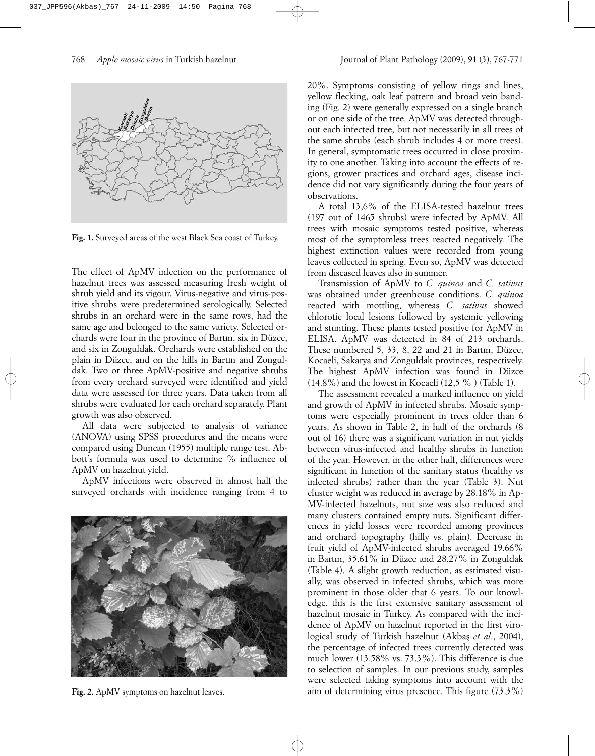

**Fig. 1.** Surveyed areas of the west Black Sea coast of Turkey.

The effect of ApMV infection on the performance of hazelnut trees was assessed measuring fresh weight of shrub yield and its vigour. Virus-negative and virus-positive shrubs were predetermined serologically. Selected shrubs in an orchard were in the same rows, had the same age and belonged to the same variety. Selected orchards were four in the province of Bartın, six in Düzce, and six in Zonguldak. Orchards were established on the plain in Düzce, and on the hills in Bartın and Zonguldak. Two or three ApMV-positive and negative shrubs from every orchard surveyed were identified and yield data were assessed for three years. Data taken from all shrubs were evaluated for each orchard separately. Plant growth was also observed.

All data were subjected to analysis of variance (ANOVA) using SPSS procedures and the means were compared using Duncan (1955) multiple range test. Abbott's formula was used to determine % influence of ApMV on hazelnut yield.

ApMV infections were observed in almost half the surveyed orchards with incidence ranging from 4 to



**Fig. 2.** ApMV symptoms on hazelnut leaves.

20%. Symptoms consisting of yellow rings and lines, yellow flecking, oak leaf pattern and broad vein banding (Fig. 2) were generally expressed on a single branch or on one side of the tree. ApMV was detected throughout each infected tree, but not necessarily in all trees of the same shrubs (each shrub includes 4 or more trees). In general, symptomatic trees occurred in close proximity to one another. Taking into account the effects of regions, grower practices and orchard ages, disease incidence did not vary significantly during the four years of observations.

A total 13,6% of the ELISA-tested hazelnut trees (197 out of 1465 shrubs) were infected by ApMV. All trees with mosaic symptoms tested positive, whereas most of the symptomless trees reacted negatively. The highest extinction values were recorded from young leaves collected in spring. Even so, ApMV was detected from diseased leaves also in summer.

Transmission of ApMV to *C. quinoa* and *C. sativus* was obtained under greenhouse conditions. *C. quinoa* reacted with mottling, whereas *C. sativus* showed chlorotic local lesions followed by systemic yellowing and stunting. These plants tested positive for ApMV in ELISA. ApMV was detected in 84 of 213 orchards. These numbered 5, 33, 8, 22 and 21 in Bartın, Düzce, Kocaeli, Sakarya and Zonguldak provinces, respectively. The highest ApMV infection was found in Düzce (14.8%) and the lowest in Kocaeli (12,5 % ) (Table 1).

The assessment revealed a marked influence on yield and growth of ApMV in infected shrubs. Mosaic symptoms were especially prominent in trees older than 6 years. As shown in Table 2, in half of the orchards (8 out of 16) there was a significant variation in nut yields between virus-infected and healthy shrubs in function of the year. However, in the other half, differences were significant in function of the sanitary status (healthy vs infected shrubs) rather than the year (Table 3). Nut cluster weight was reduced in average by 28.18% in Ap-MV-infected hazelnuts, nut size was also reduced and many clusters contained empty nuts. Significant differences in yield losses were recorded among provinces and orchard topography (hilly vs. plain). Decrease in fruit yield of ApMV-infected shrubs averaged 19.66% in Bartın, 35.61% in Düzce and 28.27% in Zonguldak (Table 4). A slight growth reduction, as estimated visually, was observed in infected shrubs, which was more prominent in those older that 6 years. To our knowledge, this is the first extensive sanitary assessment of hazelnut mosaic in Turkey. As compared with the incidence of ApMV on hazelnut reported in the first virological study of Turkish hazelnut (Akbas *et al.*, 2004), the percentage of infected trees currently detected was much lower (13.58% vs. 73.3%). This difference is due to selection of samples. In our previous study, samples were selected taking symptoms into account with the aim of determining virus presence. This figure (73.3%)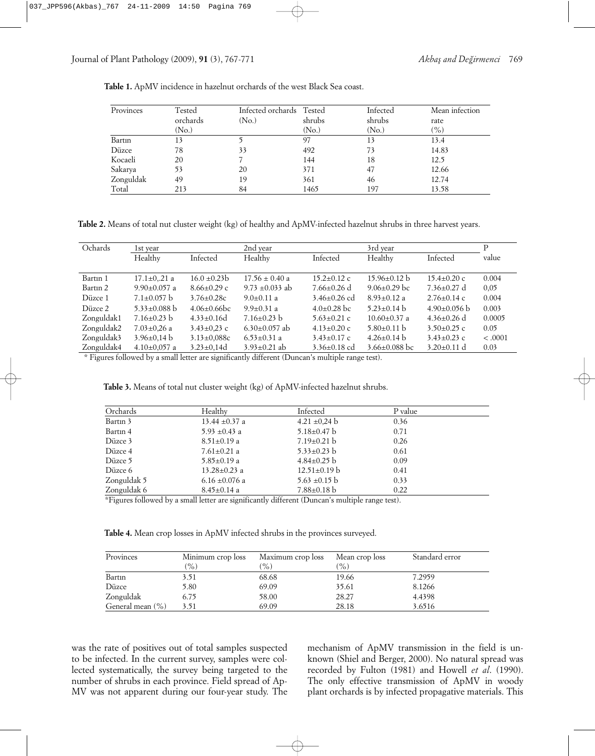| Provinces | Tested<br>orchards<br>(No.) | Infected orchards Tested<br>(N <sub>o</sub> ) | shrubs<br>(N <sub>o</sub> ) | Infected<br>shrubs<br>(No.) | Mean infection<br>rate<br>$(\%)$ |
|-----------|-----------------------------|-----------------------------------------------|-----------------------------|-----------------------------|----------------------------------|
|           |                             |                                               |                             |                             |                                  |
| Bartin    | 13                          |                                               | 97                          | 13                          | 13.4                             |
| Düzce     | 78                          | 33                                            | 492                         | 73                          | 14.83                            |
| Kocaeli   | 20                          |                                               | 144                         | 18                          | 12.5                             |
| Sakarya   | 53                          | 20                                            | 371                         | 47                          | 12.66                            |
| Zonguldak | 49                          | 19                                            | 361                         | 46                          | 12.74                            |
| Total     | 213                         | 84                                            | 1465                        | 197                         | 13.58                            |

**Table 1.** ApMV incidence in hazelnut orchards of the west Black Sea coast.

**Table 2.** Means of total nut cluster weight (kg) of healthy and ApMV-infected hazelnut shrubs in three harvest years.

| Ochards    | 1st year                  |                   | 2nd year            |                   | 3rd year                  |                   | Р       |
|------------|---------------------------|-------------------|---------------------|-------------------|---------------------------|-------------------|---------|
|            | Healthy                   | Infected          | Healthy             | Infected          | Healthy                   | Infected          | value   |
|            |                           |                   |                     |                   |                           |                   |         |
| Bartin 1   | $17.1 \pm 0.21$ a         | $16.0 \pm 0.23 b$ | $17.56 \pm 0.40$ a  | $15.2 \pm 0.12$ c | $15.96 \pm 0.12$ b        | $15.4 \pm 0.20$ c | 0.004   |
| Bartin 2   | $9.90 \pm 0.057$ a        | $8.66 \pm 0.29$ c | 9.73 $\pm$ 0.033 ab | $7.66 \pm 0.26$ d | $9.06 \pm 0.29$ bc        | $7.36 \pm 0.27$ d | 0,05    |
| Düzce 1    | $7.1 \pm 0.057$ b         | $3.76 \pm 0.28c$  | $9.0 \pm 0.11$ a    | $3.46\pm0.26$ cd  | $8.93 \pm 0.12$ a         | $2.76 \pm 0.14$ c | 0.004   |
| Düzce 2    | $5.33 \pm 0.088$ b        | $4.06\pm0.66bc$   | $9.9\pm 0.31$ a     | $4.0\pm0.28$ bc   | $5.23 \pm 0.14$ b         | $4.90\pm0.056$ b  | 0.003   |
| Zonguldak1 | $7.16 \pm 0.23$ b         | $4.33 \pm 0.16d$  | $7.16 \pm 0.23$ b   | $5.63 \pm 0.21$ c | $10.60 \pm 0.37$ a        | $4.36 \pm 0.26$ d | 0.0005  |
| Zonguldak2 | $7.03 \pm 0.26$ a         | $3.43 \pm 0.23$ c | $6.30\pm0.057$ ab   | $4.13 \pm 0.20$ c | $5.80 \pm 0.11 \text{ b}$ | $3.50\pm0.25$ c   | 0.05    |
| Zonguldak3 | $3.96 \pm 0.14 \text{ b}$ | $3.13 \pm 0.088c$ | $6.53 \pm 0.31$ a   | $3.43 \pm 0.17$ c | $4.26 \pm 0.14$ b         | $3.43 \pm 0.23$ c | < .0001 |
| Zonguldak4 | $4.10\pm0.057$ a          | $3.23 \pm 0.14d$  | $3.93 \pm 0.21$ ab  | $3.36\pm0.18$ cd  | $3.66 \pm 0.088$ bc       | $3.20 \pm 0.11$ d | 0.03    |

\* Figures followed by a small letter are significantly different (Duncan's multiple range test).

| Table 3. Means of total nut cluster weight (kg) of ApMV-infected hazelnut shrubs. |  |  |  |
|-----------------------------------------------------------------------------------|--|--|--|
|-----------------------------------------------------------------------------------|--|--|--|

| Orchards    | Healthy            | Infected           | P value |  |
|-------------|--------------------|--------------------|---------|--|
| Bartin 3    | 13.44 $\pm$ 0.37 a | $4.21 \pm 0.24$ b  | 0.36    |  |
| Bartin 4    | 5.93 $\pm$ 0.43 a  | $5.18 \pm 0.47$ b  | 0.71    |  |
| Düzce 3     | $8.51 \pm 0.19$ a  | $7.19 \pm 0.21$ b  | 0.26    |  |
| Düzce 4     | $7.61 \pm 0.21$ a  | $5.33 \pm 0.23$ b  | 0.61    |  |
| Düzce 5     | $5.85 \pm 0.19$ a  | $4.84\pm0.25$ b    | 0.09    |  |
| Düzce 6     | $13.28 \pm 0.23$ a | $12.51 \pm 0.19$ b | 0.41    |  |
| Zonguldak 5 | 6.16 $\pm$ 0.076 a | $5.63 \pm 0.15$ b  | 0.33    |  |
| Zonguldak 6 | $8.45 \pm 0.14$ a  | $7.88 \pm 0.18$ b  | 0.22    |  |

\*Figures followed by a small letter are significantly different (Duncan's multiple range test).

**Table 4.** Mean crop losses in ApMV infected shrubs in the provinces surveyed.

| Provinces            | Minimum crop loss<br>$\frac{9}{6}$ | Maximum crop loss<br>$\%$ ) | Mean crop loss<br>$(\%)$ | Standard error |
|----------------------|------------------------------------|-----------------------------|--------------------------|----------------|
| Bartin               | 3.51                               | 68.68                       | 19.66                    | 7.2959         |
| Düzce                | 5.80                               | 69.09                       | 35.61                    | 8.1266         |
| Zonguldak            | 6.75                               | 58.00                       | 28.27                    | 4.4398         |
| General mean $(\% )$ | 3.51                               | 69.09                       | 28.18                    | 3.6516         |

was the rate of positives out of total samples suspected to be infected. In the current survey, samples were collected systematically, the survey being targeted to the number of shrubs in each province. Field spread of Ap-MV was not apparent during our four-year study. The

mechanism of ApMV transmission in the field is unknown (Shiel and Berger, 2000). No natural spread was recorded by Fulton (1981) and Howell *et al*. (1990). The only effective transmission of ApMV in woody plant orchards is by infected propagative materials. This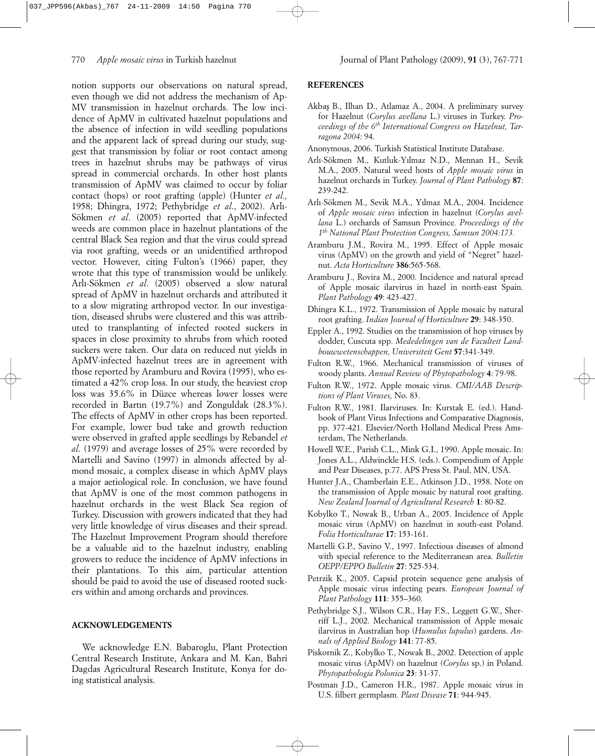notion supports our observations on natural spread, even though we did not address the mechanism of Ap-MV transmission in hazelnut orchards. The low incidence of ApMV in cultivated hazelnut populations and the absence of infection in wild seedling populations and the apparent lack of spread during our study, suggest that transmission by foliar or root contact among trees in hazelnut shrubs may be pathways of virus spread in commercial orchards. In other host plants transmission of ApMV was claimed to occur by foliar contact (hops) or root grafting (apple) (Hunter *et al.,* 1958; Dhingra, 1972; Pethybridge *et al*., 2002). Arlı-Sökmen *et al*. (2005) reported that ApMV-infected weeds are common place in hazelnut plantations of the central Black Sea region and that the virus could spread via root grafting, weeds or an unidentified arthropod vector. However, citing Fulton's (1966) paper, they wrote that this type of transmission would be unlikely. Arlı-Sökmen *et al*. (2005) observed a slow natural spread of ApMV in hazelnut orchards and attributed it to a slow migrating arthropod vector. In our investigation, diseased shrubs were clustered and this was attributed to transplanting of infected rooted suckers in spaces in close proximity to shrubs from which rooted suckers were taken. Our data on reduced nut yields in ApMV-infected hazelnut trees are in agreement with those reported by Aramburu and Rovira (1995), who estimated a 42% crop loss. In our study, the heaviest crop loss was 35.6% in Düzce whereas lower losses were recorded in Bartın (19.7%) and Zonguldak (28.3%). The effects of ApMV in other crops has been reported. For example, lower bud take and growth reduction were observed in grafted apple seedlings by Rebandel *et al*. (1979) and average losses of 25% were recorded by Martelli and Savino (1997) in almonds affected by almond mosaic, a complex disease in which ApMV plays a major aetiological role. In conclusion, we have found that ApMV is one of the most common pathogens in hazelnut orchards in the west Black Sea region of Turkey. Discussion with growers indicated that they had very little knowledge of virus diseases and their spread. The Hazelnut Improvement Program should therefore be a valuable aid to the hazelnut industry, enabling growers to reduce the incidence of ApMV infections in their plantations. To this aim, particular attention should be paid to avoid the use of diseased rooted suckers within and among orchards and provinces.

# **ACKNOWLEDGEMENTS**

We acknowledge E.N. Babaroglu, Plant Protection Central Research Institute, Ankara and M. Kan, Bahri Dagdas Agricultural Research Institute, Konya for doing statistical analysis.

## **REFERENCES**

- Akbas¸ B., Ilhan D., Atlamaz A., 2004. A preliminary survey for Hazelnut (*Corylus avellana* L.) viruses in Turkey. *Proceedings of the 6th International Congress on Hazelnut, Tarragona 2004*: 94.
- Anonymous, 2006. Turkish Statistical Institute Database.
- Arlı-Sökmen M., Kutluk-Yılmaz N.D., Mennan H., Sevik M.A., 2005. Natural weed hosts of *Apple mosaic virus* in hazelnut orchards in Turkey. *Journal of Plant Pathology* **87**: 239-242.
- Arlı-Sökmen M., Sevik M.A., Yılmaz M.A., 2004. Incidence of *Apple mosaic virus* infection in hazelnut (*Corylus avellana* L.) orchards of Samsun Province*. Proceedings of the 1th National Plant Protection Congress, Samsun 2004:173.*
- Aramburu J.M., Rovira M., 1995. Effect of Apple mosaic virus (ApMV) on the growth and yield of "Negret" hazelnut. *Acta Horticulture* **386**:565-568.
- Aramburu J., Rovira M., 2000. Incidence and natural spread of Apple mosaic ilarvirus in hazel in north-east Spain. *Plant Pathology* **49**: 423-427.
- Dhingra K.L., 1972. Transmission of Apple mosaic by natural root grafting. *Indian Journal of Horticulture* **29**: 348-350.
- Eppler A., 1992. Studies on the transmission of hop viruses by dodder, Cuscuta spp. *Mededelingen van de Faculteit Landbouwwetenschappen, Universiteit Gent* **57**:341-349.
- Fulton R.W., 1966. Mechanical transmission of viruses of woody plants. *Annual Review of Phytopathology* **4**: 79-98.
- Fulton R.W., 1972. Apple mosaic virus. *CMI/AAB Descriptions of Plant Viruses,* No. 83.
- Fulton R.W., 1981. Ilarviruses. In: Kurstak E. (ed.). Handbook of Plant Virus Infections and Comparative Diagnosis, pp. 377-421. Elsevier/North Holland Medical Press Amsterdam, The Netherlands.
- Howell W.E., Parish C.L., Mink G.I., 1990. Apple mosaic. In: Jones A.L., Aldwinckle H.S. (eds.). Compendium of Apple and Pear Diseases, p.77. APS Press St. Paul, MN, USA.
- Hunter J.A., Chamberlain E.E., Atkinson J.D., 1958. Note on the transmission of Apple mosaic by natural root grafting. *New Zealand Journal of Agricultural Research* **1**: 80-82.
- Kobylko T., Nowak B., Urban A., 2005. Incidence of Apple mosaic virus (ApMV) on hazelnut in south-east Poland. *Folia Horticulturae* **17**: 153-161.
- Martelli G.P., Savino V., 1997. Infectious diseases of almond with special reference to the Mediterranean area. *Bulletin OEPP/EPPO Bulletin* **27**: 525-534.
- Petrzik K., 2005. Capsid protein sequence gene analysis of Apple mosaic virus infecting pears. *European Journal of Plant Pathology* **111**: 355–360.
- Pethybridge S.J., Wilson C.R., Hay F.S., Leggett G.W., Sherriff L.J., 2002. Mechanical transmission of Apple mosaic ilarvirus in Australian hop (*Humulus lupulus*) gardens. *Annals of Applied Biology* **141**: 77-85.
- Piskornik Z., Kobylko T., Nowak B., 2002. Detection of apple mosaic virus (ApMV) on hazelnut (*Corylus* sp.) in Poland. *Phytopathologia Polonica* **23**: 31-37.
- Postman J.D., Cameron H.R., 1987. Apple mosaic virus in U.S. filbert germplasm*. Plant Disease* **71**: 944-945.